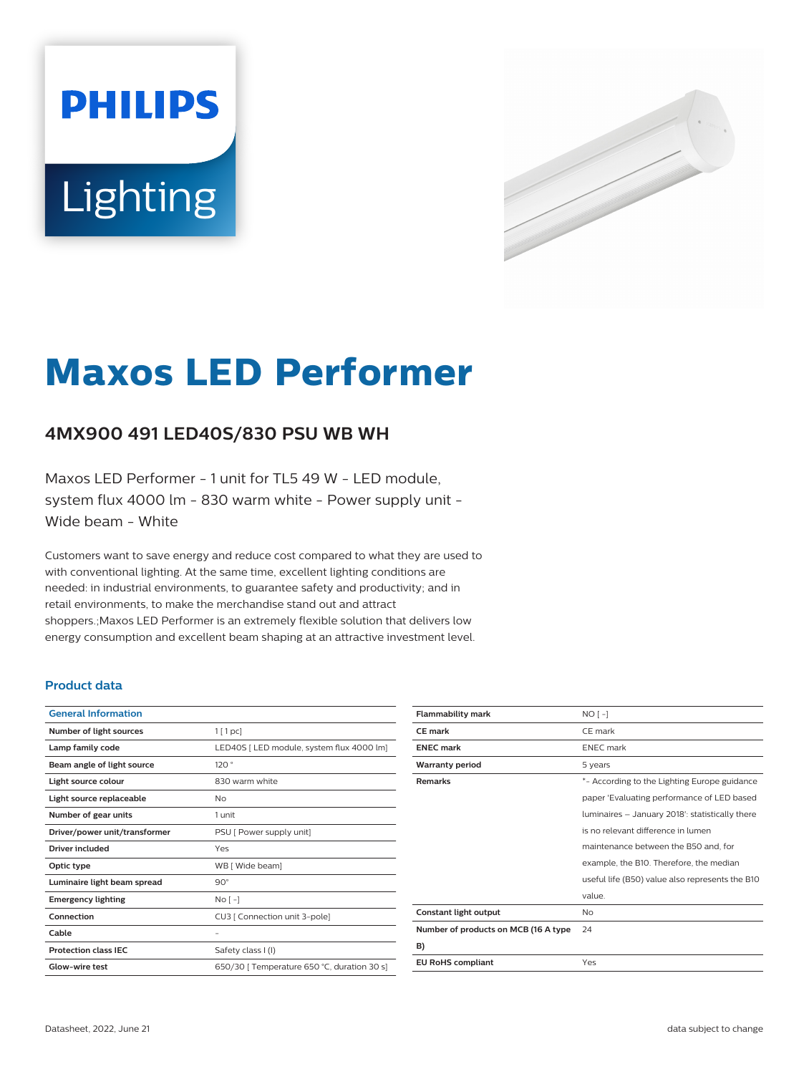# **PHILIPS** Lighting



# **Maxos LED Performer**

# **4MX900 491 LED40S/830 PSU WB WH**

Maxos LED Performer - 1 unit for TL5 49 W - LED module, system flux 4000 lm - 830 warm white - Power supply unit - Wide beam - White

Customers want to save energy and reduce cost compared to what they are used to with conventional lighting. At the same time, excellent lighting conditions are needed: in industrial environments, to guarantee safety and productivity; and in retail environments, to make the merchandise stand out and attract shoppers.;Maxos LED Performer is an extremely flexible solution that delivers low energy consumption and excellent beam shaping at an attractive investment level.

#### **Product data**

| <b>General Information</b>    |                                             |
|-------------------------------|---------------------------------------------|
| Number of light sources       | 1[1pc]                                      |
| Lamp family code              | LED40S [ LED module, system flux 4000 lm]   |
| Beam angle of light source    | 120°                                        |
| Light source colour           | 830 warm white                              |
| Light source replaceable      | No                                          |
| Number of gear units          | 1 unit                                      |
| Driver/power unit/transformer | PSU [ Power supply unit]                    |
| Driver included               | Yes                                         |
| Optic type                    | WB [ Wide beam]                             |
| Luminaire light beam spread   | $90^\circ$                                  |
| <b>Emergency lighting</b>     | $No[-]$                                     |
| Connection                    | CU3 [ Connection unit 3-pole]               |
| Cable                         |                                             |
| <b>Protection class IEC</b>   | Safety class I (I)                          |
| Glow-wire test                | 650/30   Temperature 650 °C, duration 30 s] |
|                               |                                             |

| <b>Flammability mark</b>             | $NO[-]$                                         |
|--------------------------------------|-------------------------------------------------|
| <b>CE</b> mark                       | CE mark                                         |
| <b>ENEC mark</b>                     | <b>ENEC</b> mark                                |
| <b>Warranty period</b>               | 5 years                                         |
| <b>Remarks</b>                       | *- According to the Lighting Europe guidance    |
|                                      | paper 'Evaluating performance of LED based      |
|                                      | luminaires - January 2018': statistically there |
|                                      | is no relevant difference in lumen              |
|                                      | maintenance between the B50 and, for            |
|                                      | example, the B10. Therefore, the median         |
|                                      | useful life (B50) value also represents the B10 |
|                                      | value.                                          |
| Constant light output                | No                                              |
| Number of products on MCB (16 A type | 24                                              |
| B)                                   |                                                 |
| <b>EU RoHS compliant</b>             | Yes                                             |
|                                      |                                                 |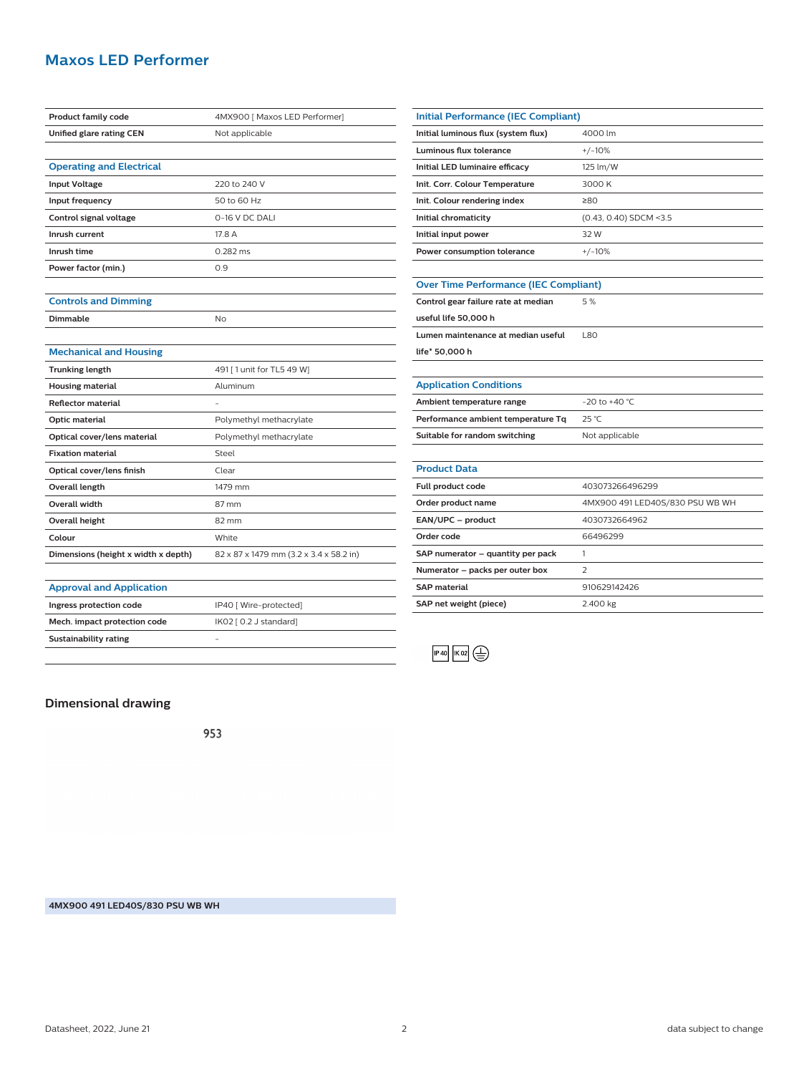## **Maxos LED Performer**

| <b>Product family code</b>          | 4MX900 [ Maxos LED Performer]           |
|-------------------------------------|-----------------------------------------|
| Unified glare rating CEN            | Not applicable                          |
|                                     |                                         |
| <b>Operating and Electrical</b>     |                                         |
| <b>Input Voltage</b>                | 220 to 240 V                            |
| Input frequency                     | 50 to 60 Hz                             |
| Control signal voltage              | 0-16 V DC DALI                          |
| Inrush current                      | 17.8 A                                  |
| Inrush time                         | 0.282 ms                                |
| Power factor (min.)                 | 0.9                                     |
|                                     |                                         |
| <b>Controls and Dimming</b>         |                                         |
| Dimmable                            | <b>No</b>                               |
|                                     |                                         |
| <b>Mechanical and Housing</b>       |                                         |
| <b>Trunking length</b>              | 491 [ 1 unit for TL5 49 W]              |
| <b>Housing material</b>             | Aluminum                                |
| <b>Reflector material</b>           | ÷,                                      |
| <b>Optic material</b>               | Polymethyl methacrylate                 |
| Optical cover/lens material         | Polymethyl methacrylate                 |
| <b>Fixation material</b>            | Steel                                   |
| Optical cover/lens finish           | Clear                                   |
| <b>Overall length</b>               | 1479 mm                                 |
| <b>Overall width</b>                | 87 mm                                   |
| <b>Overall height</b>               | 82 mm                                   |
| Colour                              | White                                   |
| Dimensions (height x width x depth) | 82 x 87 x 1479 mm (3.2 x 3.4 x 58.2 in) |
|                                     |                                         |
| <b>Approval and Application</b>     |                                         |
| Ingress protection code             | IP40 [ Wire-protected]                  |
| Mech. impact protection code        | IK02 [ 0.2 J standard]                  |

| <b>Initial Performance (IEC Compliant)</b>   |                                 |  |
|----------------------------------------------|---------------------------------|--|
| Initial luminous flux (system flux)          | 4000 lm                         |  |
| Luminous flux tolerance                      | $+/-10%$                        |  |
| Initial LED luminaire efficacy               | 125 lm/W                        |  |
| Init. Corr. Colour Temperature               | 3000 K                          |  |
| Init. Colour rendering index                 | ≥80                             |  |
| Initial chromaticity                         | (0.43, 0.40) SDCM <3.5          |  |
| Initial input power                          | 32W                             |  |
| Power consumption tolerance                  | $+/-10%$                        |  |
|                                              |                                 |  |
| <b>Over Time Performance (IEC Compliant)</b> |                                 |  |
| Control gear failure rate at median          | 5%                              |  |
| useful life 50,000 h                         |                                 |  |
| Lumen maintenance at median useful           | <b>L80</b>                      |  |
| life* 50,000 h                               |                                 |  |
|                                              |                                 |  |
| <b>Application Conditions</b>                |                                 |  |
| Ambient temperature range                    | $-20$ to $+40$ °C.              |  |
| Performance ambient temperature Tq           | 25 °C                           |  |
| Suitable for random switching                | Not applicable                  |  |
|                                              |                                 |  |
| <b>Product Data</b>                          |                                 |  |
| Full product code                            | 403073266496299                 |  |
| Order product name                           | 4MX900 491 LED40S/830 PSU WB WH |  |
| EAN/UPC - product                            | 4030732664962                   |  |
| Order code                                   | 66496299                        |  |
| SAP numerator - quantity per pack            | 1                               |  |
| Numerator - packs per outer box              | $\overline{2}$                  |  |
| <b>SAP material</b>                          | 910629142426                    |  |



**SAP net weight (piece)** 2.400 kg

#### **Dimensional drawing**

**Sustainability rating** -

953

**4MX900 491 LED40S/830 PSU WB WH**